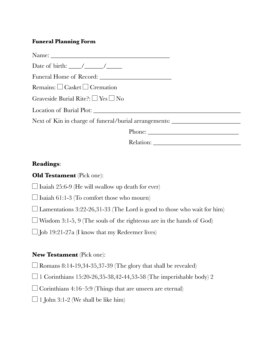## **Funeral Planning Form**

| Date of birth: $\frac{\sqrt{2}}{2}$                                               |
|-----------------------------------------------------------------------------------|
|                                                                                   |
| Remains: $\Box$ Casket $\Box$ Cremation                                           |
| Graveside Burial Rite?: $\Box$ Yes $\Box$ No                                      |
|                                                                                   |
| Next of Kin in charge of funeral/burial arrangements: ___________________________ |
|                                                                                   |
| Relation:                                                                         |

## **Readings**:

| <b>Old Testament</b> (Pick one): |  |  |
|----------------------------------|--|--|
|----------------------------------|--|--|

 $\Box$  Isaiah 25:6-9 (He will swallow up death for ever)

 $\Box$  Isaiah 61:1-3 (To comfort those who mourn)

 $\Box$  Lamentations 3:22-26,31-33 (The Lord is good to those who wait for him)

 $\Box$  Wisdom 3:1-5, 9 (The souls of the righteous are in the hands of God)

 $\Box$  Job 19:21-27a (I know that my Redeemer lives)

## **New Testament** (Pick one):

 $\Box$  Romans 8:14-19,34-35,37-39 (The glory that shall be revealed)

 $\Box$  1 Corinthians 15:20-26,35-38,42-44,53-58 (The imperishable body) 2

 $\Box$  Corinthians 4:16–5:9 (Things that are unseen are eternal)

 $\Box$  1 John 3:1-2 (We shall be like him)